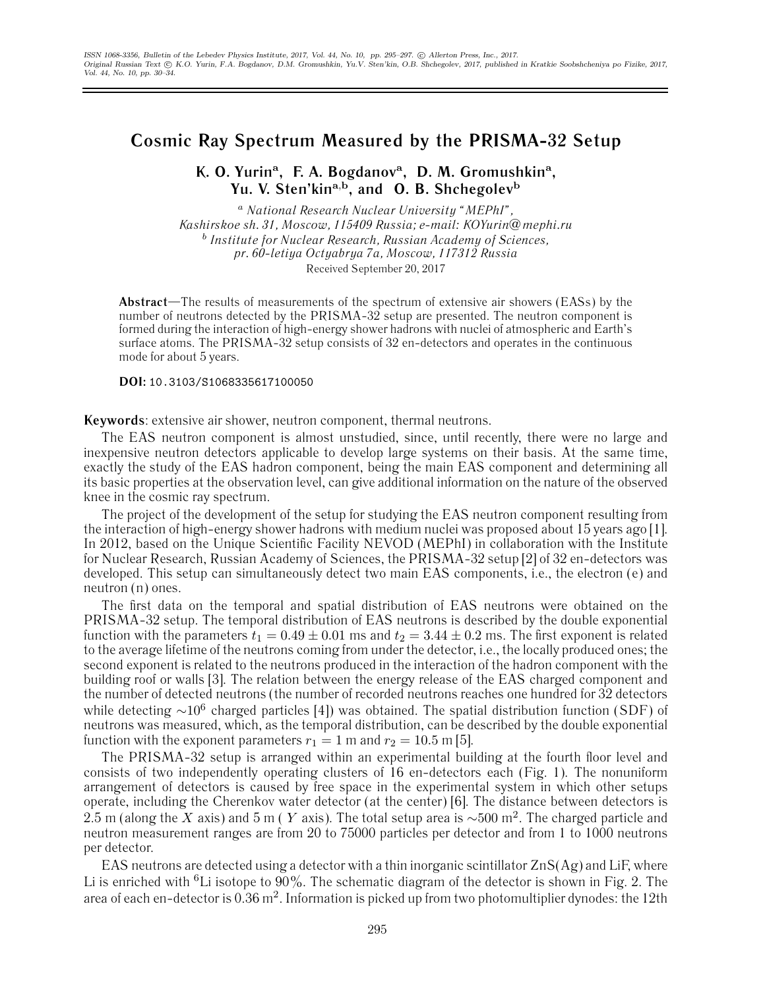## **Cosmic Ray Spectrum Measured by the PRISMA-32 Setup**

## **K. O. Yurin<sup>a</sup>, F. A. Bogdanov<sup>a</sup>, D. M. Gromushkin<sup>a</sup>, Yu. V. Sten'kin<sup>a</sup>**,**<sup>b</sup>, and O. B. Shchegolev<sup>b</sup>**

<sup>a</sup> *National Research Nuclear University "MEPhI", Kashirskoe sh. 31, Moscow, 115409 Russia; e-mail: KOYurin@mephi.ru* <sup>b</sup> *Institute for Nuclear Research, Russian Academy of Sciences, pr. 60-letiya Octyabrya 7a, Moscow, 117312 Russia* Received September 20, 2017

**Abstract**—The results of measurements of the spectrum of extensive air showers (EASs) by the number of neutrons detected by the PRISMA-32 setup are presented. The neutron component is formed during the interaction of high-energy shower hadrons with nuclei of atmospheric and Earth's surface atoms. The PRISMA-32 setup consists of 32 en-detectors and operates in the continuous mode for about 5 years.

**DOI:** 10.3103/S1068335617100050

**Keywords**: extensive air shower, neutron component, thermal neutrons.

The EAS neutron component is almost unstudied, since, until recently, there were no large and inexpensive neutron detectors applicable to develop large systems on their basis. At the same time, exactly the study of the EAS hadron component, being the main EAS component and determining all its basic properties at the observation level, can give additional information on the nature of the observed knee in the cosmic ray spectrum.

The project of the development of the setup for studying the EAS neutron component resulting from the interaction of high-energy shower hadrons with medium nuclei was proposed about 15 years ago [1]. In 2012, based on the Unique Scientific Facility NEVOD (MEPhI) in collaboration with the Institute for Nuclear Research, Russian Academy of Sciences, the PRISMA-32 setup [2] of 32 en-detectors was developed. This setup can simultaneously detect two main EAS components, i.e., the electron (e) and neutron (n) ones.

The first data on the temporal and spatial distribution of EAS neutrons were obtained on the PRISMA-32 setup. The temporal distribution of EAS neutrons is described by the double exponential function with the parameters  $t_1 = 0.49 \pm 0.01$  ms and  $t_2 = 3.44 \pm 0.2$  ms. The first exponent is related to the average lifetime of the neutrons coming from under the detector, i.e., the locally produced ones; the second exponent is related to the neutrons produced in the interaction of the hadron component with the building roof or walls [3]. The relation between the energy release of the EAS charged component and the number of detected neutrons (the number of recorded neutrons reaches one hundred for 32 detectors while detecting  $\sim 10^6$  charged particles [4]) was obtained. The spatial distribution function (SDF) of neutrons was measured, which, as the temporal distribution, can be described by the double exponential function with the exponent parameters  $r_1 = 1$  m and  $r_2 = 10.5$  m [5].

The PRISMA-32 setup is arranged within an experimental building at the fourth floor level and consists of two independently operating clusters of 16 en-detectors each (Fig. 1). The nonuniform arrangement of detectors is caused by free space in the experimental system in which other setups operate, including the Cherenkov water detector (at the center) [6]. The distance between detectors is 2.5 m (along the X axis) and 5 m (Y axis). The total setup area is  $\sim$ 500 m<sup>2</sup>. The charged particle and neutron measurement ranges are from 20 to 75000 particles per detector and from 1 to 1000 neutrons per detector.

EAS neutrons are detected using a detector with a thin inorganic scintillator  $ZnS(Ag)$  and LiF, where Li is enriched with <sup>6</sup>Li isotope to 90%. The schematic diagram of the detector is shown in Fig. 2. The area of each en-detector is  $0.36$  m<sup>2</sup>. Information is picked up from two photomultiplier dynodes: the 12th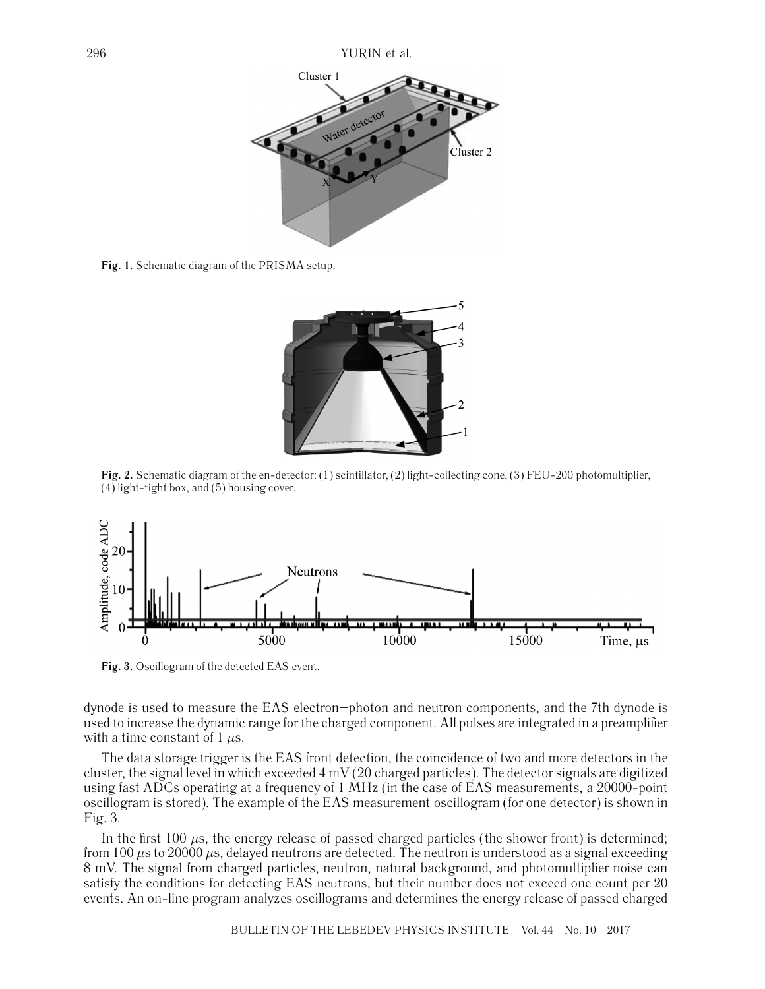

**Fig. 1.** Schematic diagram of the PRISMA setup.



**Fig. 2.** Schematic diagram of the en-detector: (1) scintillator, (2) light-collecting cone, (3) FEU-200 photomultiplier, (4) light-tight box, and (5) housing cover.



**Fig. 3.** Oscillogram of the detected EAS event.

dynode is used to measure the EAS electron–photon and neutron components, and the 7th dynode is used to increase the dynamic range for the charged component. All pulses are integrated in a preamplifier with a time constant of 1  $\mu$ s.

The data storage trigger is the EAS front detection, the coincidence of two and more detectors in the cluster, the signal level in which exceeded 4 mV (20 charged particles). The detector signals are digitized using fast ADCs operating at a frequency of 1 MHz (in the case of EAS measurements, a 20000-point oscillogram is stored). The example of the EAS measurement oscillogram (for one detector) is shown in Fig. 3.

In the first 100  $\mu$ s, the energy release of passed charged particles (the shower front) is determined; from 100  $\mu$ s to 20000  $\mu$ s, delayed neutrons are detected. The neutron is understood as a signal exceeding 8 mV. The signal from charged particles, neutron, natural background, and photomultiplier noise can satisfy the conditions for detecting EAS neutrons, but their number does not exceed one count per 20 events. An on-line program analyzes oscillograms and determines the energy release of passed charged